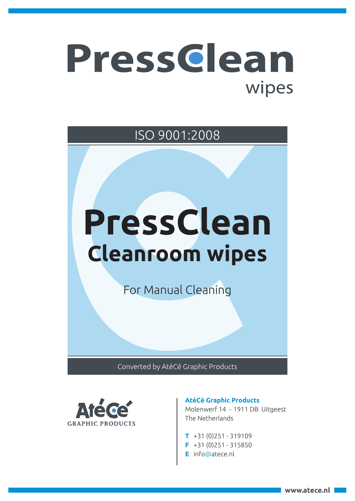## PressGlean wipes

ISO 9001:2008

# **PressClean Cleanroom wipes**

For Manual Cleaning

Converted by AtéCé Graphic Products



### **AtéCé Graphic Products**

Molenwerf 14 - 1911 DB Uitgeest The Netherlands

- **T** +31 (0)251 319109
- **F** +31 (0)251 315850
- **E** info@atece.nl